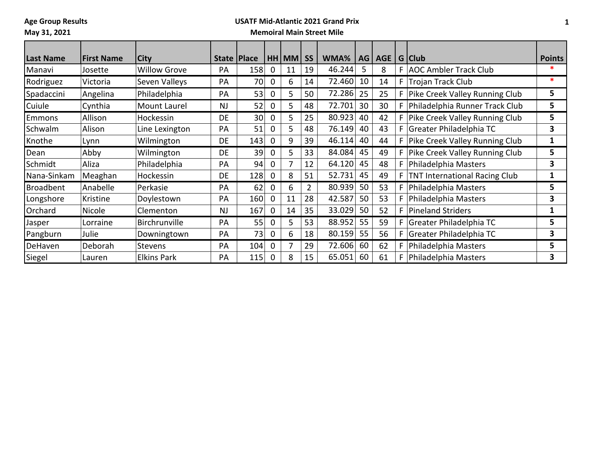**Age Group Results**

### **May 31, 2021**

## **USATF Mid-Atlantic 2021 Grand Prix**

### **Memoiral Main Street Mile**

| Last Name        | <b>First Name</b> | <b>City</b>         | State   Place |                 |              | HH MM | <b>SS</b>      | WMA%   | AG | AGE |    | G Club                               | <b>Points</b> |
|------------------|-------------------|---------------------|---------------|-----------------|--------------|-------|----------------|--------|----|-----|----|--------------------------------------|---------------|
| Manavi           | Josette           | <b>Willow Grove</b> | PA            | 158             | 0            | 11    | 19             | 46.244 | ב  | 8   |    | F   AOC Ambler Track Club            | $\ast$        |
| Rodriguez        | Victoria          | Seven Valleys       | PA            | 70              | 0            | 6     | 14             | 72.460 | 10 | 14  |    | F Trojan Track Club                  | $\ast$        |
| Spadaccini       | Angelina          | Philadelphia        | PA            | 53              | 0            | 5.    | 50             | 72.286 | 25 | 25  |    | F   Pike Creek Valley Running Club   | 5             |
| Cuiule           | Cynthia           | Mount Laurel        | <b>NJ</b>     | 52              | 0            | 5     | 48             | 72.701 | 30 | 30  |    | F   Philadelphia Runner Track Club   | 5             |
| <b>Emmons</b>    | Allison           | Hockessin           | DE.           | 30 <sup>°</sup> | $\mathbf{0}$ | 5     | 25             | 80.923 | 40 | 42  |    | F   Pike Creek Valley Running Club   | 5             |
| Schwalm          | Alison            | Line Lexington      | PA            | 51              | 0            | 5     | 48             | 76.149 | 40 | 43  |    | F Greater Philadelphia TC            | 3             |
| Knothe           | Lynn              | Wilmington          | <b>DE</b>     | 143             | $\Omega$     | 9     | 39             | 46.114 | 40 | 44  |    | F   Pike Creek Valley Running Club   | 1             |
| Dean             | Abby              | Wilmington          | <b>DE</b>     | 39              | 0            | 5     | 33             | 84.084 | 45 | 49  |    | F   Pike Creek Valley Running Club   | 5             |
| Schmidt          | Aliza             | Philadelphia        | PA            | 94              | $\Omega$     |       | 12             | 64.120 | 45 | 48  |    | F   Philadelphia Masters             | 3             |
| Nana-Sinkam      | Meaghan           | Hockessin           | DE            | 128             | $\Omega$     | 8     | 51             | 52.731 | 45 | 49  | F. | <b>TNT International Racing Club</b> | 1             |
| <b>Broadbent</b> | Anabelle          | Perkasie            | PA            | 62              | 0            | 6     | $\overline{2}$ | 80.939 | 50 | 53  |    | F   Philadelphia Masters             | 5             |
| Longshore        | Kristine          | Doylestown          | PA            | 160             | $\mathbf 0$  | 11    | 28             | 42.587 | 50 | 53  |    | F   Philadelphia Masters             | 3             |
| Orchard          | Nicole            | Clementon           | <b>NJ</b>     | 167             | $\Omega$     | 14    | 35             | 33.029 | 50 | 52  |    | F   Pineland Striders                | 1             |
| Jasper           | Lorraine          | Birchrunville       | PA            | 55              | 0            | 5     | 53             | 88.952 | 55 | 59  |    | F Greater Philadelphia TC            | 5             |
| Pangburn         | Julie             | Downingtown         | PA            | 73              | 0            | 6     | 18             | 80.159 | 55 | 56  |    | F Greater Philadelphia TC            | 3             |
| DeHaven          | Deborah           | <b>Stevens</b>      | PA            | 104             | 0            |       | 29             | 72.606 | 60 | 62  |    | F   Philadelphia Masters             | 5             |
| Siegel           | Lauren            | <b>Elkins Park</b>  | PA            | 115             | $\mathbf{0}$ | 8     | 15             | 65.051 | 60 | 61  |    | F   Philadelphia Masters             | 3             |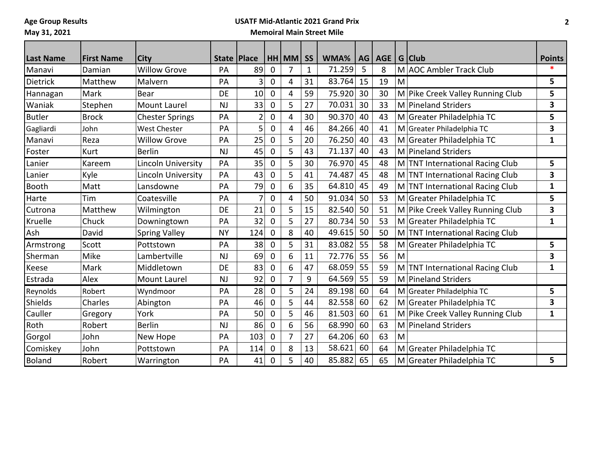**Age Group Results**

### **May 31, 2021**

# **USATF Mid-Atlantic 2021 Grand Prix**

### **Memoiral Main Street Mile**

| <b>Last Name</b> | <b>First Name</b> | City                      |           | State   Place  |             | HH MM | <b>SS</b>    | WMA%   | AG | AGE |   | G Club                           | <b>Points</b>           |
|------------------|-------------------|---------------------------|-----------|----------------|-------------|-------|--------------|--------|----|-----|---|----------------------------------|-------------------------|
| Manavi           | Damian            | <b>Willow Grove</b>       | PA        | 89             | $\mathbf 0$ | 7     | $\mathbf{1}$ | 71.259 | 5  | 8   |   | M AOC Ambler Track Club          | $\ast$                  |
| <b>Dietrick</b>  | Matthew           | Malvern                   | PA        | 3              | $\mathbf 0$ | 4     | 31           | 83.764 | 15 | 19  | M |                                  | $5\phantom{.0}$         |
| Hannagan         | Mark              | Bear                      | <b>DE</b> | 10             | $\mathbf 0$ | 4     | 59           | 75.920 | 30 | 30  |   | M Pike Creek Valley Running Club | 5                       |
| Waniak           | Stephen           | <b>Mount Laurel</b>       | <b>NJ</b> | 33             | $\mathbf 0$ | 5     | 27           | 70.031 | 30 | 33  |   | M Pineland Striders              | 3                       |
| <b>Butler</b>    | <b>Brock</b>      | <b>Chester Springs</b>    | PA        | $\overline{2}$ | $\mathbf 0$ | 4     | 30           | 90.370 | 40 | 43  |   | M Greater Philadelphia TC        | 5                       |
| Gagliardi        | John              | <b>West Chester</b>       | PA        | 5              | $\mathbf 0$ | 4     | 46           | 84.266 | 40 | 41  |   | M Greater Philadelphia TC        | 3                       |
| Manavi           | Reza              | <b>Willow Grove</b>       | PA        | 25             | $\mathbf 0$ | 5     | 20           | 76.250 | 40 | 43  |   | M Greater Philadelphia TC        | 1                       |
| Foster           | Kurt              | <b>Berlin</b>             | <b>NJ</b> | 45             | $\mathbf 0$ | 5     | 43           | 71.137 | 40 | 43  |   | M Pineland Striders              |                         |
| Lanier           | Kareem            | <b>Lincoln University</b> | PA        | 35             | 0           | 5     | 30           | 76.970 | 45 | 48  |   | M TNT International Racing Club  | 5                       |
| Lanier           | Kyle              | Lincoln University        | PA        | 43             | $\mathbf 0$ | 5     | 41           | 74.487 | 45 | 48  |   | M TNT International Racing Club  | 3                       |
| <b>Booth</b>     | Matt              | Lansdowne                 | PA        | 79             | $\mathbf 0$ | 6     | 35           | 64.810 | 45 | 49  |   | M TNT International Racing Club  | $\mathbf{1}$            |
| Harte            | Tim               | Coatesville               | PA        | 7              | 0           | 4     | 50           | 91.034 | 50 | 53  |   | M Greater Philadelphia TC        | 5                       |
| Cutrona          | Matthew           | Wilmington                | <b>DE</b> | 21             | $\mathbf 0$ | 5     | 15           | 82.540 | 50 | 51  |   | M Pike Creek Valley Running Club | $\overline{\mathbf{3}}$ |
| Kruelle          | Chuck             | Downingtown               | PA        | 32             | 0           | 5     | 27           | 80.734 | 50 | 53  |   | M Greater Philadelphia TC        | 1                       |
| Ash              | David             | <b>Spring Valley</b>      | <b>NY</b> | 124            | $\mathbf 0$ | 8     | 40           | 49.615 | 50 | 50  |   | M TNT International Racing Club  |                         |
| Armstrong        | Scott             | Pottstown                 | PA        | 38             | $\mathbf 0$ | 5     | 31           | 83.082 | 55 | 58  |   | M Greater Philadelphia TC        | 5                       |
| Sherman          | Mike              | Lambertville              | <b>NJ</b> | 69             | 0           | 6     | 11           | 72.776 | 55 | 56  | M |                                  | 3                       |
| Keese            | Mark              | Middletown                | DE        | 83             | 0           | 6     | 47           | 68.059 | 55 | 59  |   | M TNT International Racing Club  | 1                       |
| Estrada          | Alex              | <b>Mount Laurel</b>       | <b>NJ</b> | 92             | $\mathbf 0$ | 7     | 9            | 64.569 | 55 | 59  |   | M Pineland Striders              |                         |
| Reynolds         | Robert            | Wyndmoor                  | PA        | 28             | $\mathbf 0$ | 5     | 24           | 89.198 | 60 | 64  |   | M Greater Philadelphia TC        | 5                       |
| Shields          | Charles           | Abington                  | PA        | 46             | 0           | 5     | 44           | 82.558 | 60 | 62  |   | M Greater Philadelphia TC        | 3                       |
| Cauller          | Gregory           | York                      | PA        | 50             | $\mathbf 0$ | 5     | 46           | 81.503 | 60 | 61  |   | M Pike Creek Valley Running Club | 1                       |
| Roth             | Robert            | <b>Berlin</b>             | <b>NJ</b> | 86             | $\mathbf 0$ | 6     | 56           | 68.990 | 60 | 63  |   | M Pineland Striders              |                         |
| Gorgol           | John              | New Hope                  | PA        | 103            | $\mathbf 0$ | 7     | 27           | 64.206 | 60 | 63  | M |                                  |                         |
| Comiskey         | John              | Pottstown                 | PA        | 114            | $\mathbf 0$ | 8     | 13           | 58.621 | 60 | 64  |   | M Greater Philadelphia TC        |                         |
| <b>Boland</b>    | Robert            | Warrington                | PA        | 41             | $\mathbf 0$ | 5     | 40           | 85.882 | 65 | 65  |   | M Greater Philadelphia TC        | 5                       |